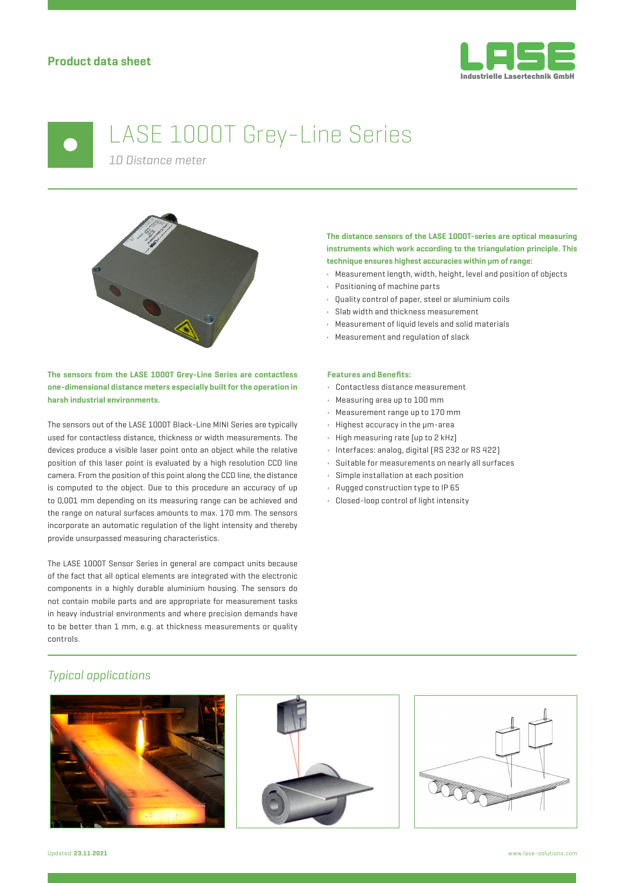

# LASE 1000T Grey-Line Series

*1D Distance meter*



**The sensors from the LASE 1000T Grey-Line Series are contactless one-dimensional distance meters especially built for the operation in harsh industrial environments.**

The sensors out of the LASE 1000T Black-Line MINI Series are typically used for contactless distance, thickness or width measurements. The devices produce a visible laser point onto an object while the relative position of this laser point is evaluated by a high resolution CCD line camera. From the position of this point along the CCD line, the distance is computed to the object. Due to this procedure an accuracy of up to 0,001 mm depending on its measuring range can be achieved and the range on natural surfaces amounts to max. 170 mm. The sensors incorporate an automatic regulation of the light intensity and thereby provide unsurpassed measuring characteristics.

The LASE 1000T Sensor Series in general are compact units because of the fact that all optical elements are integrated with the electronic components in a highly durable aluminium housing. The sensors do not contain mobile parts and are appropriate for measurement tasks in heavy industrial environments and where precision demands have to be better than 1 mm, e.g. at thickness measurements or quality controls.

### **The distance sensors of the LASE 1000T-series are optical measuring instruments which work according to the triangulation principle. This technique ensures highest accuracies within μm of range:**

- Measurement length, width, height, level and position of objects
- Positioning of machine parts
- Quality control of paper, steel or aluminium coils
- Slab width and thickness measurement
- Measurement of liquid levels and solid materials
- Measurement and regulation of slack

#### **Features and Benefits:**

- Contactless distance measurement
- Measuring area up to 100 mm
- Measurement range up to 170 mm
- Highest accuracy in the μm-area
- High measuring rate (up to 2 kHz)
- Interfaces: analog, digital (RS 232 or RS 422)
- Suitable for measurements on nearly all surfaces
- Simple installation at each position
- Rugged construction type to IP 65
- Closed-loop control of light intensity

## *Typical applications*